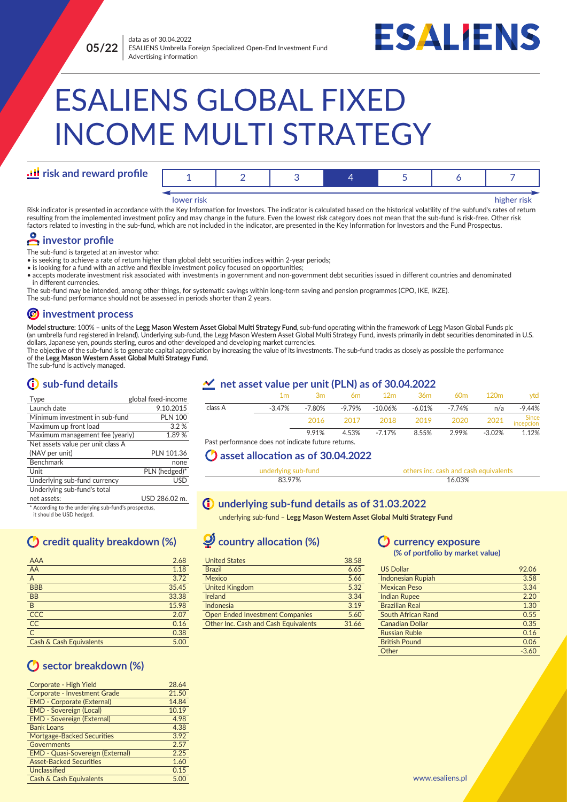

# ESALIENS GLOBAL FIXED INCOME MULTI STRATEGY

## **risk and reward profile**

| lower risk |  |  | higher risk |
|------------|--|--|-------------|

Risk indicator is presented in accordance with the Key Information for Investors. The indicator is calculated based on the historical volatility of the subfund's rates of return resulting from the implemented investment policy and may change in the future. Even the lowest risk category does not mean that the sub-fund is risk-free. Other risk<br>factors related to investing in the sub-fund, which are

# **investor profile**

The sub-fund is targeted at an investor who:

- $\bullet$  is seeking to achieve a rate of return higher than global debt securities indices within 2-year periods;<br> $\bullet$  is looking for a fund with an active and flexible investment policy focused on opportunities;
- 
- accepts moderate investment risk associated with investments in government and non-government debt securities issued in different countries and denominated in different currencies.

The sub-fund may be intended, among other things, for systematic savings within long-term saving and pension programmes (CPO, IKE, IKZE).

The sub-fund performance should not be assessed in periods shorter than 2 years.

#### **investment process**

Model structure: 100% - units of the Legg Mason Western Asset Global Multi Strategy Fund, sub-fund operating within the framework of Legg Mason Global Funds plc (an umbrella fund registered in Ireland). Underlying sub-fund, the Legg Mason Western Asset Global Multi Strategy Fund, invests primarily in debt securities denominated in U.S. dollars, Japanese yen, pounds sterling, euros and other developed and developing market currencies.

The objective of the sub-fund is to generate capital appreciation by increasing the value of its investments. The sub-fund tracks as closely as possible the performance of the **Legg Mason Western Asset Global Mul6 Strategy Fund**. The sub-fund is actively managed.

### **sub-fund details**

| Type                              | global fixed-income |
|-----------------------------------|---------------------|
| Launch date                       | 9.10.2015           |
| Minimum investment in sub-fund    | <b>PLN 100</b>      |
| Maximum up front load             | 3.2%                |
| Maximum management fee (yearly)   | 1.89%               |
| Net assets value per unit class A |                     |
| (NAV per unit)                    | PLN 101.36          |
| Benchmark                         | none                |
| Unit                              | PLN (hedged)*       |
| Underlying sub-fund currency      | <b>USD</b>          |
| Underlying sub-fund's total       |                     |
| net assets:                       | USD 286.02 m.       |
|                                   |                     |

\* According to the underlying sub-fund's prospectus, it should be USD hedged.

# **credit quality breakdown (%)**

| <b>AAA</b>              | 2.68  |
|-------------------------|-------|
| AA                      | 1.18  |
| $\overline{A}$          | 3.72  |
| <b>BBB</b>              | 35.45 |
| <b>BB</b>               | 33.38 |
| B                       | 15.98 |
| CCC                     | 2.07  |
| CC                      | 0.16  |
| $\overline{\mathsf{c}}$ | 0.38  |
| Cash & Cash Equivalents | 5.00  |

# **sector breakdown (%)**

| Corporate - High Yield                  | 28.64 |
|-----------------------------------------|-------|
| <b>Corporate - Investment Grade</b>     | 21.50 |
| <b>EMD - Corporate (External)</b>       | 14.84 |
| <b>EMD</b> - Sovereign (Local)          | 10.19 |
| <b>EMD - Sovereign (External)</b>       | 4.98  |
| <b>Bank Loans</b>                       | 4.38  |
| <b>Mortgage-Backed Securities</b>       | 3.92  |
| Governments                             | 2.57  |
| <b>EMD - Quasi-Sovereign (External)</b> | 2.25  |
| <b>Asset-Backed Securities</b>          | 1.60  |
| Unclassified                            | 0.15  |
| Cash & Cash Equivalents                 | 5.00  |
|                                         |       |

### **net asset value per unit (PLN) as of 30.04.2022**

|         | 1 <sub>m</sub> | .3m    | 6m     | 12 <sub>m</sub> | 36m    | 60m    | 120m     | vtd        |
|---------|----------------|--------|--------|-----------------|--------|--------|----------|------------|
| class A | $-3.47%$       | -7.80% | -9.79% | -10.06%         | -6.01% | -7.74% | n/a      | -9.44%     |
|         |                | 2016   | 2017   | 2018            | 2019   | 2020   |          | 2021 Since |
|         |                | 9.91%  | 4.53%  | -7.17%          | 8.55%  | 2.99%  | $-3.02%$ | 1.12%      |

Past performance does not indicate future returns.

#### **asset alloca6on as of 30.04.2022**

| riving sub-fund | thers inclicash and cash equivalents. |
|-----------------|---------------------------------------|
|                 | U307<br>.                             |

#### **underlying sub-fund details as of 31.03.2022**

underlying sub-fund – **Legg Mason Western Asset Global Mul6 Strategy Fund**

# $\mathcal{Q}$  country allocation (%)

| <b>United States</b>                   | 38.58 |
|----------------------------------------|-------|
| <b>Brazil</b>                          | 6.65  |
| Mexico                                 | 5.66  |
| <b>United Kingdom</b>                  | 5.32  |
| Ireland                                | 3.34  |
| Indonesia                              | 3.19  |
| <b>Open Ended Investment Companies</b> | 5.60  |
| Other Inc. Cash and Cash Equivalents   | 31.66 |
|                                        |       |

# **currency exposure**

#### **(% of por!olio by market value)**

| <b>US Dollar</b>         | 92.06   |
|--------------------------|---------|
| <b>Indonesian Rupiah</b> | 3.58    |
| <b>Mexican Peso</b>      | 3.34    |
| <b>Indian Rupee</b>      | 2.20    |
| <b>Brazilian Real</b>    | 1.30    |
| South African Rand       | 0.55    |
| <b>Canadian Dollar</b>   | 0.35    |
| <b>Russian Ruble</b>     | 0.16    |
| <b>British Pound</b>     | 0.06    |
| Other                    | $-3.60$ |